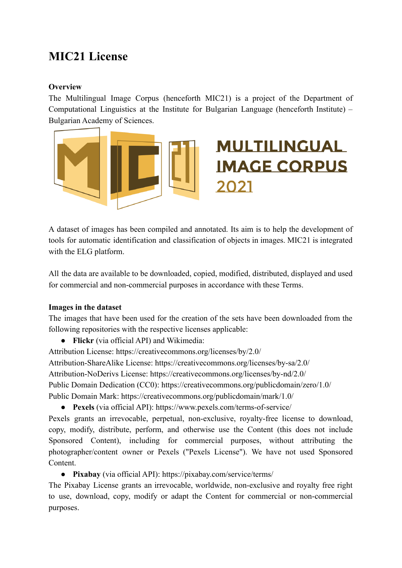# **MIC21 License**

#### **Overview**

The Multilingual Image Corpus (henceforth MIC21) is a project of the Department of Computational Linguistics at the Institute for Bulgarian Language (henceforth Institute) – Bulgarian Academy of Sciences.



A dataset of images has been compiled and annotated. Its aim is to help the development of tools for automatic identification and classification of objects in images. MIC21 is integrated with the ELG platform.

All the data are available to be downloaded, copied, modified, distributed, displayed and used for commercial and non-commercial purposes in accordance with these Terms.

#### **Images in the dataset**

The images that have been used for the creation of the sets have been downloaded from the following repositories with the respective licenses applicable:

● **Flickr** (via official API) and Wikimedia:

Attribution License: https://creativecommons.org/licenses/by/2.0/ Attribution-ShareAlike License: https://creativecommons.org/licenses/by-sa/2.0/ Attribution-NoDerivs License: https://creativecommons.org/licenses/by-nd/2.0/ Public Domain Dedication (CC0): https://creativecommons.org/publicdomain/zero/1.0/ Public Domain Mark: https://creativecommons.org/publicdomain/mark/1.0/

● **Pexels** (via official API): https://www.pexels.com/terms-of-service/

Pexels grants an irrevocable, perpetual, non-exclusive, royalty-free license to download, copy, modify, distribute, perform, and otherwise use the Content (this does not include Sponsored Content), including for commercial purposes, without attributing the photographer/content owner or Pexels ("Pexels License"). We have not used Sponsored Content.

● **Pixabay** (via official API): https://pixabay.com/service/terms/

The Pixabay License grants an irrevocable, worldwide, non-exclusive and royalty free right to use, download, copy, modify or adapt the Content for commercial or non-commercial purposes.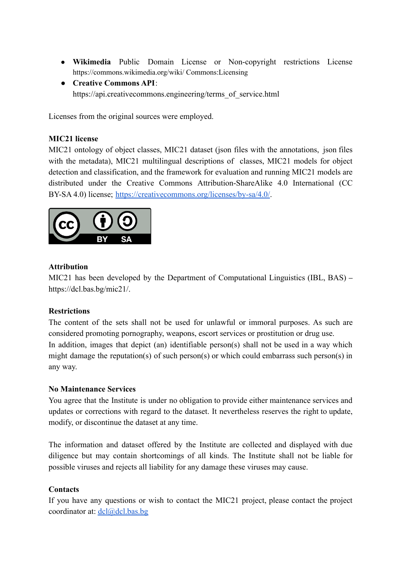- **Wikimedia** Public Domain License or Non-copyright restrictions License https://commons.wikimedia.org/wiki/ Commons:Licensing
- **Creative Commons API**: https://api.creativecommons.engineering/terms\_of\_service.html

Licenses from the original sources were employed.

### **MIC21 license**

MIC21 ontology of object classes, MIC21 dataset (json files with the annotations, json files with the metadata), MIC21 multilingual descriptions of classes, MIC21 models for object detection and classification, and the framework for evaluation and running MIC21 models are distributed under the Creative Commons Attribution-ShareAlike 4.0 International (CC BY-SA 4.0) license; <https://creativecommons.org/licenses/by-sa/4.0/>.



#### **Attribution**

MIC21 has been developed by the Department of Computational Linguistics (IBL, BAS) – https://dcl.bas.bg/mic21/.

#### **Restrictions**

The content of the sets shall not be used for unlawful or immoral purposes. As such are considered promoting pornography, weapons, escort services or prostitution or drug use. In addition, images that depict (an) identifiable person(s) shall not be used in a way which might damage the reputation(s) of such person(s) or which could embarrass such person(s) in any way.

#### **No Maintenance Services**

You agree that the Institute is under no obligation to provide either maintenance services and updates or corrections with regard to the dataset. It nevertheless reserves the right to update, modify, or discontinue the dataset at any time.

The information and dataset offered by the Institute are collected and displayed with due diligence but may contain shortcomings of all kinds. The Institute shall not be liable for possible viruses and rejects all liability for any damage these viruses may cause.

#### **Contacts**

If you have any questions or wish to contact the MIC21 project, please contact the project coordinator at: [dcl@dcl.bas.bg](mailto:dcl@dcl.bas.bg)